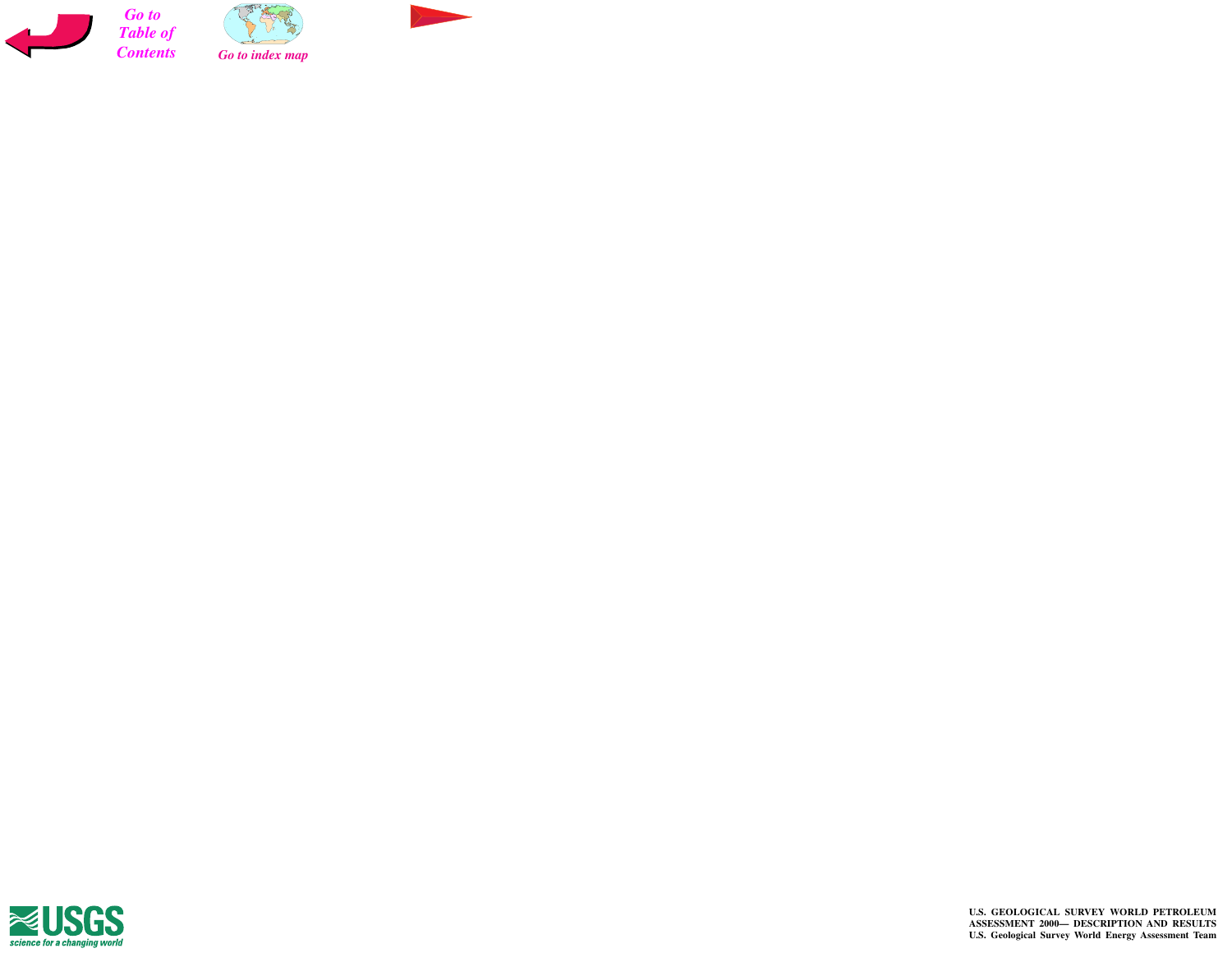



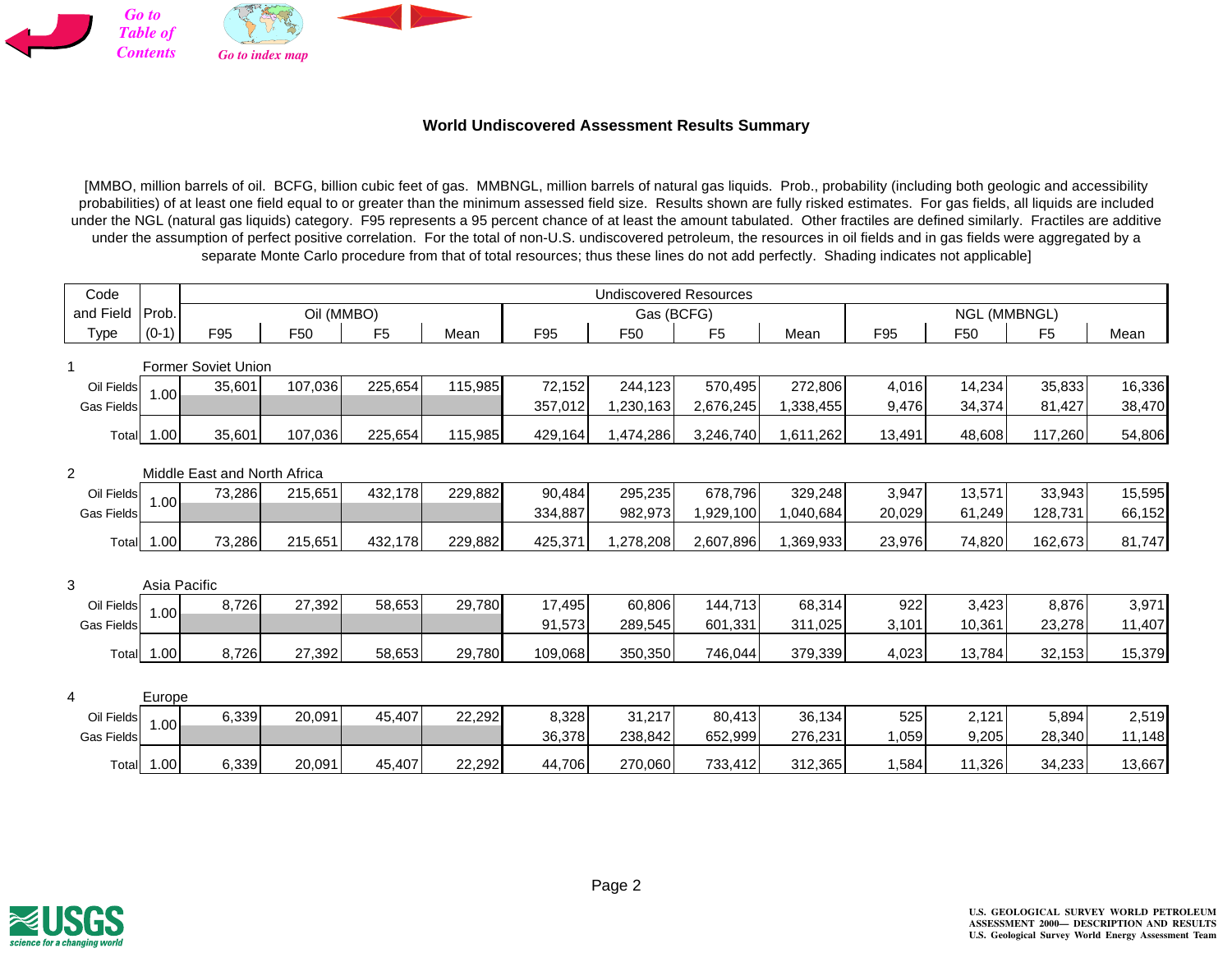

## **World Undiscovered Assessment Results Summary**

[MMBO, million barrels of oil. BCFG, billion cubic feet of gas. MMBNGL, million barrels of natural gas liquids. Prob., probability (including both geologic and accessibility probabilities) of at least one field equal to or greater than the minimum assessed field size. Results shown are fully risked estimates. For gas fields, all liquids are included under the NGL (natural gas liquids) category. F95 represents a 95 percent chance of at least the amount tabulated. Other fractiles are defined similarly. Fractiles are additive under the assumption of perfect positive correlation. For the total of non-U.S. undiscovered petroleum, the resources in oil fields and in gas fields were aggregated by a separate Monte Carlo procedure from that of total resources; thus these lines do not add perfectly. Shading indicates not applicable]

| Code              |              |                              |            |                |         |         | <b>Undiscovered Resources</b> |                |           |        |              |                |        |
|-------------------|--------------|------------------------------|------------|----------------|---------|---------|-------------------------------|----------------|-----------|--------|--------------|----------------|--------|
| and Field         | Prob.        |                              | Oil (MMBO) |                |         |         | Gas (BCFG)                    |                |           |        | NGL (MMBNGL) |                |        |
| Type              | $(0-1)$      | F95                          | F50        | F <sub>5</sub> | Mean    | F95     | F50                           | F <sub>5</sub> | Mean      | F95    | F50          | F <sub>5</sub> | Mean   |
| $\mathbf{1}$      |              | Former Soviet Union          |            |                |         |         |                               |                |           |        |              |                |        |
| Oil Fields        | 1.00         | 35,601                       | 107,036    | 225,654        | 115,985 | 72,152  | 244,123                       | 570,495        | 272,806   | 4,016  | 14,234       | 35,833         | 16,336 |
| <b>Gas Fields</b> |              |                              |            |                |         | 357,012 | ,230,163                      | 2,676,245      | 1,338,455 | 9,476  | 34,374       | 81,427         | 38,470 |
| Total             | 1.00         | 35,601                       | 107,036    | 225,654        | 115,985 | 429,164 | 1,474,286                     | 3,246,740      | 1,611,262 | 13,491 | 48,608       | 117,260        | 54,806 |
| $\overline{2}$    |              | Middle East and North Africa |            |                |         |         |                               |                |           |        |              |                |        |
| Oil Fields        |              | 73,286                       | 215,651    | 432,178        | 229,882 | 90,484  | 295,235                       | 678,796        | 329,248   | 3,947  | 13,571       | 33,943         | 15,595 |
| <b>Gas Fields</b> | 1.00         |                              |            |                |         | 334,887 | 982,973                       | 1,929,100      | 1,040,684 | 20,029 | 61,249       | 128,731        | 66,152 |
| Total             | 1.00         | 73,286                       | 215,651    | 432,178        | 229,882 | 425,371 | 1,278,208                     | 2,607,896      | 1,369,933 | 23,976 | 74,820       | 162,673        | 81,747 |
| 3                 | Asia Pacific |                              |            |                |         |         |                               |                |           |        |              |                |        |
| Oil Fields        |              | 8,726                        | 27,392     | 58,653         | 29,780  | 17,495  | 60,806                        | 144,713        | 68,314    | 922    | 3,423        | 8,876          | 3,971  |
| <b>Gas Fields</b> | 1.00         |                              |            |                |         | 91,573  | 289,545                       | 601,331        | 311,025   | 3,101  | 10,361       | 23,278         | 11,407 |
| Total             | 1.00         | 8,726                        | 27,392     | 58,653         | 29,780  | 109,068 | 350,350                       | 746,044        | 379,339   | 4,023  | 13,784       | 32,153         | 15,379 |
|                   |              |                              |            |                |         |         |                               |                |           |        |              |                |        |
| $\overline{4}$    | Europe       |                              |            |                |         |         |                               |                |           |        |              |                |        |
| Oil Fields        | 1.00         | 6,339                        | 20,091     | 45,407         | 22,292  | 8,328   | 31,217                        | 80,413         | 36,134    | 525    | 2,121        | 5,894          | 2,519  |
| <b>Gas Fields</b> |              |                              |            |                |         | 36,378  | 238,842                       | 652,999        | 276,231   | 1,059  | 9,205        | 28,340         | 11,148 |
| Total             | 1.00         | 6,339                        | 20,091     | 45,407         | 22,292  | 44,706  | 270,060                       | 733,412        | 312,365   | 1,584  | 11,326       | 34,233         | 13,667 |

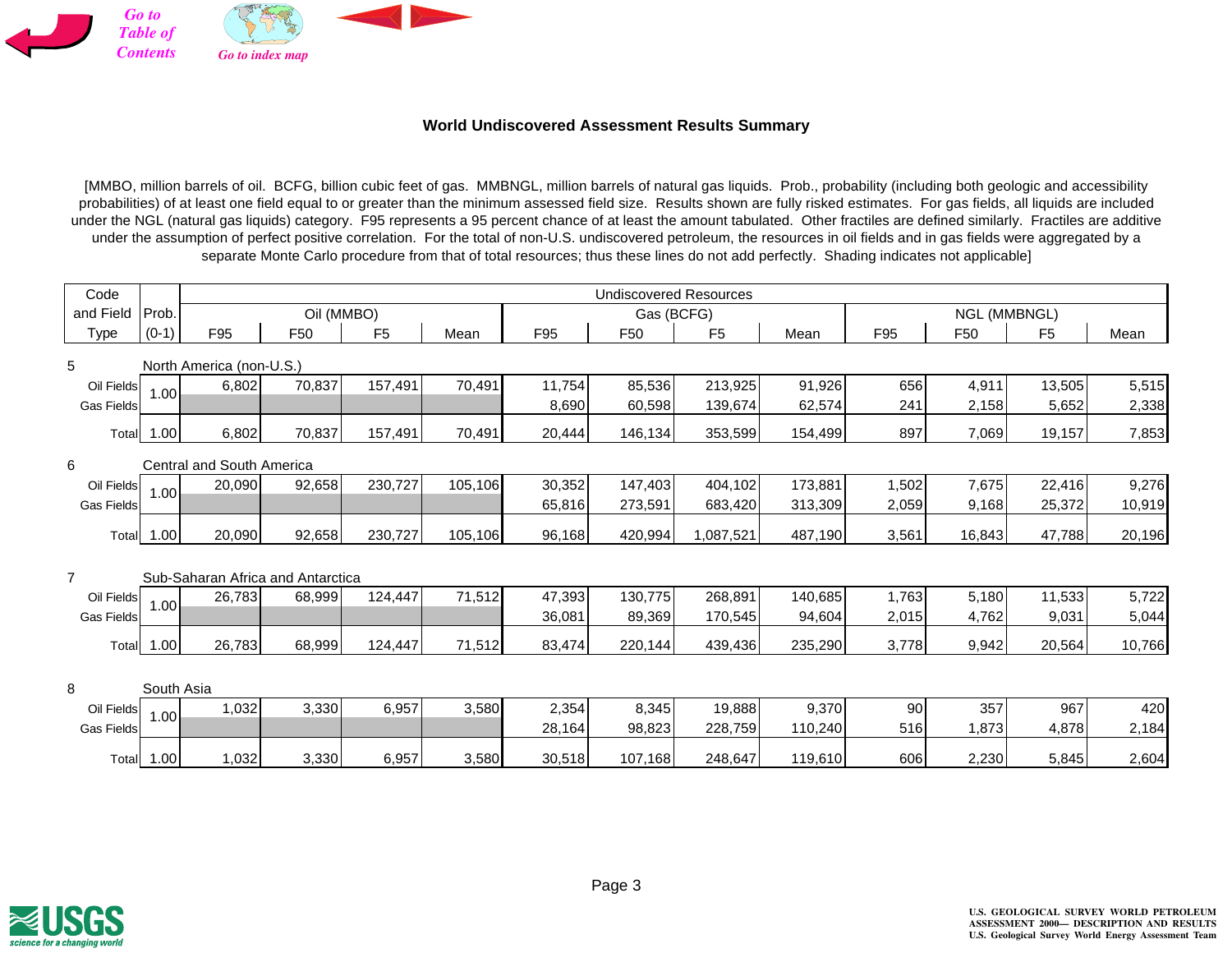

## **World Undiscovered Assessment Results Summary**

[MMBO, million barrels of oil. BCFG, billion cubic feet of gas. MMBNGL, million barrels of natural gas liquids. Prob., probability (including both geologic and accessibility probabilities) of at least one field equal to or greater than the minimum assessed field size. Results shown are fully risked estimates. For gas fields, all liquids are included under the NGL (natural gas liquids) category. F95 represents a 95 percent chance of at least the amount tabulated. Other fractiles are defined similarly. Fractiles are additive under the assumption of perfect positive correlation. For the total of non-U.S. undiscovered petroleum, the resources in oil fields and in gas fields were aggregated by a separate Monte Carlo procedure from that of total resources; thus these lines do not add perfectly. Shading indicates not applicable]

| Code              |            |                                   |            |                |         |        | <b>Undiscovered Resources</b> |                |         |       |                 |                |        |
|-------------------|------------|-----------------------------------|------------|----------------|---------|--------|-------------------------------|----------------|---------|-------|-----------------|----------------|--------|
| and Field Prob.   |            |                                   | Oil (MMBO) |                |         |        | Gas (BCFG)                    |                |         |       | NGL (MMBNGL)    |                |        |
| Type              | $(0-1)$    | F95                               | F50        | F <sub>5</sub> | Mean    | F95    | F <sub>50</sub>               | F <sub>5</sub> | Mean    | F95   | F <sub>50</sub> | F <sub>5</sub> | Mean   |
| 5                 |            | North America (non-U.S.)          |            |                |         |        |                               |                |         |       |                 |                |        |
| Oil Fields        |            | 6,802                             | 70,837     | 157,491        | 70,491  | 11,754 | 85,536                        | 213,925        | 91,926  | 656   | 4,911           | 13,505         | 5,515  |
| <b>Gas Fields</b> | 1.00       |                                   |            |                |         | 8,690  | 60,598                        | 139,674        | 62,574  | 241   | 2,158           | 5,652          | 2,338  |
| Total             | 1.00       | 6,802                             | 70,837     | 157,491        | 70,491  | 20,444 | 146,134                       | 353,599        | 154,499 | 897   | 7,069           | 19,157         | 7,853  |
| 6                 |            | Central and South America         |            |                |         |        |                               |                |         |       |                 |                |        |
| Oil Fields        | 1.00       | 20,090                            | 92,658     | 230,727        | 105,106 | 30,352 | 147,403                       | 404,102        | 173,881 | 1,502 | 7,675           | 22,416         | 9,276  |
| <b>Gas Fields</b> |            |                                   |            |                |         | 65,816 | 273,591                       | 683,420        | 313,309 | 2,059 | 9,168           | 25,372         | 10,919 |
| Total             | 1.00       | 20,090                            | 92,658     | 230,727        | 105,106 | 96,168 | 420,994                       | 1,087,521      | 487,190 | 3,561 | 16,843          | 47,788         | 20,196 |
| $\overline{7}$    |            | Sub-Saharan Africa and Antarctica |            |                |         |        |                               |                |         |       |                 |                |        |
| Oil Fields        |            | 26,783                            | 68,999     | 124,447        | 71,512  | 47,393 | 130,775                       | 268,891        | 140,685 | 1,763 | 5,180           | 11,533         | 5,722  |
| <b>Gas Fields</b> | 1.00       |                                   |            |                |         | 36,081 | 89,369                        | 170,545        | 94,604  | 2,015 | 4,762           | 9,031          | 5,044  |
| Total             | 1.00       | 26,783                            | 68,999     | 124,447        | 71,512  | 83,474 | 220,144                       | 439,436        | 235,290 | 3,778 | 9,942           | 20,564         | 10,766 |
|                   |            |                                   |            |                |         |        |                               |                |         |       |                 |                |        |
| 8                 | South Asia |                                   |            |                |         |        |                               |                |         |       |                 |                |        |
| Oil Fields        | 1.00       | 1,032                             | 3,330      | 6,957          | 3,580   | 2,354  | 8,345                         | 19,888         | 9,370   | 90    | 357             | 967            | 420    |
| <b>Gas Fields</b> |            |                                   |            |                |         | 28,164 | 98,823                        | 228,759        | 110,240 | 516   | 1,873           | 4,878          | 2,184  |
| Total             | 1.00       | 1,032                             | 3,330      | 6,957          | 3,580   | 30,518 | 107,168                       | 248,647        | 119,610 | 606   | 2,230           | 5,845          | 2,604  |